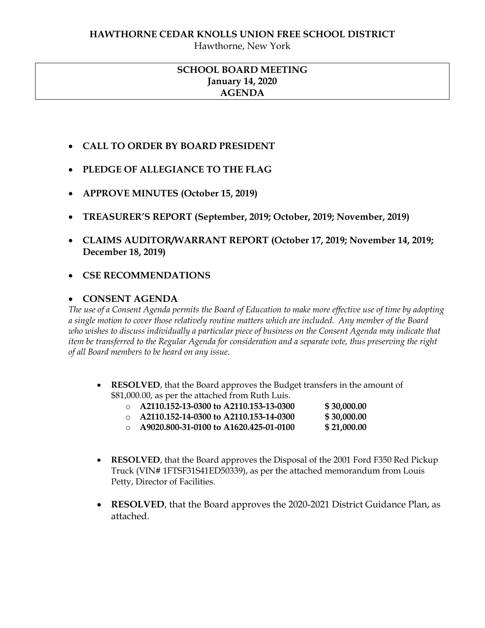#### **HAWTHORNE CEDAR KNOLLS UNION FREE SCHOOL DISTRICT**

Hawthorne, New York

# **SCHOOL BOARD MEETING January 14, 2020 AGENDA**

- **CALL TO ORDER BY BOARD PRESIDENT**
- **PLEDGE OF ALLEGIANCE TO THE FLAG**
- **APPROVE MINUTES (October 15, 2019)**
- **TREASURER'S REPORT (September, 2019; October, 2019; November, 2019)**
- **CLAIMS AUDITOR/WARRANT REPORT (October 17, 2019; November 14, 2019; December 18, 2019)**
- **CSE RECOMMENDATIONS**

### **CONSENT AGENDA**

*The use of a Consent Agenda permits the Board of Education to make more effective use of time by adopting a single motion to cover those relatively routine matters which are included. Any member of the Board who wishes to discuss individually a particular piece of business on the Consent Agenda may indicate that item be transferred to the Regular Agenda for consideration and a separate vote, thus preserving the right of all Board members to be heard on any issue.* 

 **RESOLVED**, that the Board approves the Budget transfers in the amount of \$81,000.00, as per the attached from Ruth Luis.

| $\cap$ | A2110.152-13-0300 to A2110.153-13-0300 | \$30,000.00 |
|--------|----------------------------------------|-------------|
| $\cap$ | A2110.152-14-0300 to A2110.153-14-0300 | \$30,000.00 |
| $\cap$ | A9020.800-31-0100 to A1620.425-01-0100 | \$21,000.00 |

- **RESOLVED**, that the Board approves the Disposal of the 2001 Ford F350 Red Pickup Truck (VIN# 1FTSF31S41ED50339), as per the attached memorandum from Louis Petty, Director of Facilities.
- **RESOLVED**, that the Board approves the 2020-2021 District Guidance Plan, as attached.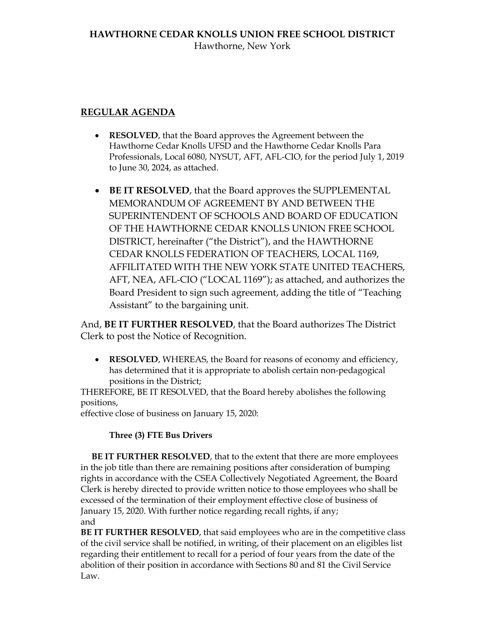# **REGULAR AGENDA**

- **RESOLVED**, that the Board approves the Agreement between the Hawthorne Cedar Knolls UFSD and the Hawthorne Cedar Knolls Para Professionals, Local 6080, NYSUT, AFT, AFL-CIO, for the period July 1, 2019 to June 30, 2024, as attached.
- **BE IT RESOLVED**, that the Board approves the SUPPLEMENTAL MEMORANDUM OF AGREEMENT BY AND BETWEEN THE SUPERINTENDENT OF SCHOOLS AND BOARD OF EDUCATION OF THE HAWTHORNE CEDAR KNOLLS UNION FREE SCHOOL DISTRICT, hereinafter ("the District"), and the HAWTHORNE CEDAR KNOLLS FEDERATION OF TEACHERS, LOCAL 1169, AFFILITATED WITH THE NEW YORK STATE UNITED TEACHERS, AFT, NEA, AFL-CIO ("LOCAL 1169"); as attached, and authorizes the Board President to sign such agreement, adding the title of "Teaching Assistant" to the bargaining unit.

And, **BE IT FURTHER RESOLVED**, that the Board authorizes The District Clerk to post the Notice of Recognition.

 **RESOLVED**, WHEREAS, the Board for reasons of economy and efficiency, has determined that it is appropriate to abolish certain non-pedagogical positions in the District;

THEREFORE, BE IT RESOLVED, that the Board hereby abolishes the following positions,

effective close of business on January 15, 2020:

# **Three (3) FTE Bus Drivers**

 **BE IT FURTHER RESOLVED**, that to the extent that there are more employees in the job title than there are remaining positions after consideration of bumping rights in accordance with the CSEA Collectively Negotiated Agreement, the Board Clerk is hereby directed to provide written notice to those employees who shall be excessed of the termination of their employment effective close of business of January 15, 2020. With further notice regarding recall rights, if any; and

**BE IT FURTHER RESOLVED**, that said employees who are in the competitive class of the civil service shall be notified, in writing, of their placement on an eligibles list regarding their entitlement to recall for a period of four years from the date of the abolition of their position in accordance with Sections 80 and 81 the Civil Service Law.